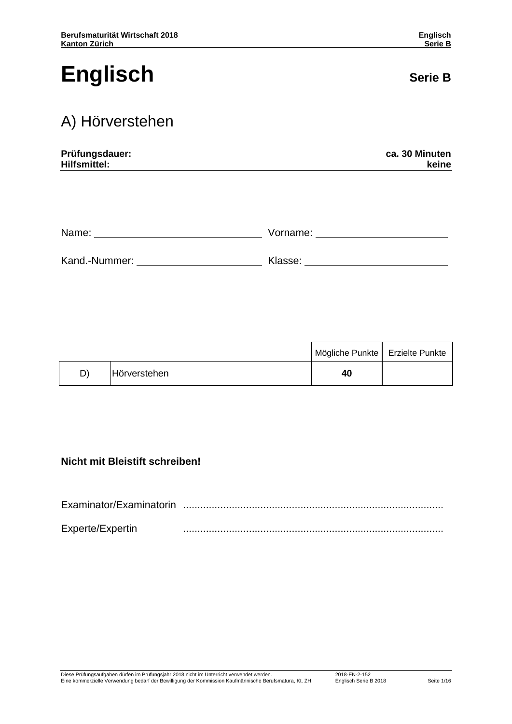# **Englisch** Serie B

## A) Hörverstehen

| Prüfungsdauer:      | ca. 30 Minuten |
|---------------------|----------------|
| <b>Hilfsmittel:</b> | keine          |

| Name:         | Vorname: |
|---------------|----------|
|               |          |
| Kand.-Nummer: | Klasse:  |

|    |              | Mögliche Punkte   Erzielte Punkte |  |
|----|--------------|-----------------------------------|--|
| D) | Hörverstehen | 40                                |  |

### **Nicht mit Bleistift schreiben!**

| Examinator/Examinatorin |  |
|-------------------------|--|
| Experte/Expertin        |  |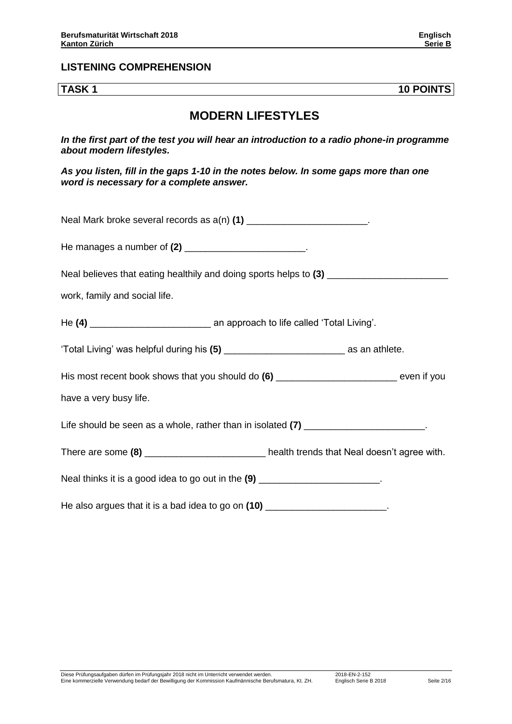### **LISTENING COMPREHENSION**

**TASK 1 10 POINTS**

### **MODERN LIFESTYLES**

*In the first part of the test you will hear an introduction to a radio phone-in programme about modern lifestyles.*

*As you listen, fill in the gaps 1-10 in the notes below. In some gaps more than one word is necessary for a complete answer.*

| Neal Mark broke several records as a(n) (1) ________________________.                        |
|----------------------------------------------------------------------------------------------|
| He manages a number of (2) _________________________.                                        |
| Neal believes that eating healthily and doing sports helps to (3) _____________________      |
| work, family and social life.                                                                |
|                                                                                              |
| 'Total Living' was helpful during his (5) _________________________________ as an athlete.   |
| His most recent book shows that you should do (6) ______________________________ even if you |
| have a very busy life.                                                                       |
| Life should be seen as a whole, rather than in isolated (7) ______________________.          |
| There are some (8) __________________________ health trends that Neal doesn't agree with.    |
| Neal thinks it is a good idea to go out in the (9) _______________________.                  |
| He also argues that it is a bad idea to go on (10) _________________________.                |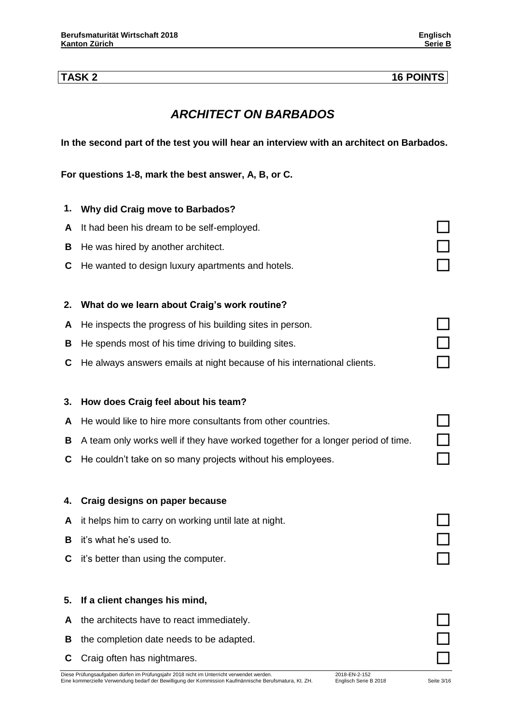### **TASK 2 16 POINTS**

### *ARCHITECT ON BARBADOS*

**In the second part of the test you will hear an interview with an architect on Barbados.**

**For questions 1-8, mark the best answer, A, B, or C.** 

| 1. | <b>Why did Craig move to Barbados?</b>                                           |  |
|----|----------------------------------------------------------------------------------|--|
| A  | It had been his dream to be self-employed.                                       |  |
| В  | He was hired by another architect.                                               |  |
| C  | He wanted to design luxury apartments and hotels.                                |  |
|    |                                                                                  |  |
| 2. | What do we learn about Craig's work routine?                                     |  |
| A  | He inspects the progress of his building sites in person.                        |  |
| В  | He spends most of his time driving to building sites.                            |  |
| С  | He always answers emails at night because of his international clients.          |  |
|    |                                                                                  |  |
| 3. | How does Craig feel about his team?                                              |  |
| A  | He would like to hire more consultants from other countries.                     |  |
| В  | A team only works well if they have worked together for a longer period of time. |  |
| С  | He couldn't take on so many projects without his employees.                      |  |
|    |                                                                                  |  |
| 4. | Craig designs on paper because                                                   |  |
| A  | it helps him to carry on working until late at night.                            |  |
| в  | it's what he's used to.                                                          |  |
| С  | it's better than using the computer.                                             |  |
|    |                                                                                  |  |
| 5. | If a client changes his mind,                                                    |  |
| А  | the architects have to react immediately.                                        |  |
| в  | the completion date needs to be adapted.                                         |  |
| C  | Craig often has nightmares.                                                      |  |
|    |                                                                                  |  |

Diese Prüfungsaufgaben dürfen im Prüfungsjahr 2018 nicht im Unterricht verwendet werden. 2018-EN-2-152 Eine kommerzielle Verwendung bedarf der Bewilligung der Kommission Kaufmännische Berufsmatura, Kt. ZH. Englisch Serie B 2018 Seite 3/16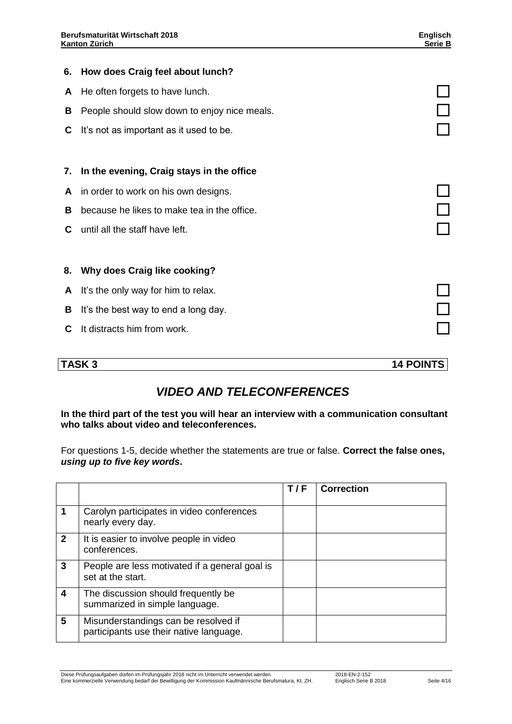| 6. | How does Craig feel about lunch?             |                  |
|----|----------------------------------------------|------------------|
| A  | He often forgets to have lunch.              |                  |
| B  | People should slow down to enjoy nice meals. |                  |
| С  | It's not as important as it used to be.      |                  |
|    |                                              |                  |
| 7. | In the evening, Craig stays in the office    |                  |
| A  | in order to work on his own designs.         |                  |
| В  | because he likes to make tea in the office.  |                  |
| С  | until all the staff have left.               |                  |
|    |                                              |                  |
| 8. | Why does Craig like cooking?                 |                  |
| A  | It's the only way for him to relax.          |                  |
| B  | It's the best way to end a long day.         |                  |
| C  | It distracts him from work.                  |                  |
|    | <b>TASK3</b>                                 | <b>14 POINTS</b> |

### *VIDEO AND TELECONFERENCES*

**In the third part of the test you will hear an interview with a communication consultant who talks about video and teleconferences.**

For questions 1-5, decide whether the statements are true or false. **Correct the false ones,**  *using up to five key words***.** 

|              |                                                                                 | T/F | <b>Correction</b> |
|--------------|---------------------------------------------------------------------------------|-----|-------------------|
|              | Carolyn participates in video conferences<br>nearly every day.                  |     |                   |
| $\mathbf{2}$ | It is easier to involve people in video<br>conferences.                         |     |                   |
| 3            | People are less motivated if a general goal is<br>set at the start.             |     |                   |
| 4            | The discussion should frequently be<br>summarized in simple language.           |     |                   |
| 5            | Misunderstandings can be resolved if<br>participants use their native language. |     |                   |

Diese Prüfungsaufgaben dürfen im Prüfungsjahr 2018 nicht im Unterricht verwendet werden. 2018-EN-2-152 Eine kommerzielle Verwendung bedarf der Bewilligung der Kommission Kaufmännische Berufsmatura, Kt. ZH. Englisch Serie B 2018 Seite 4/16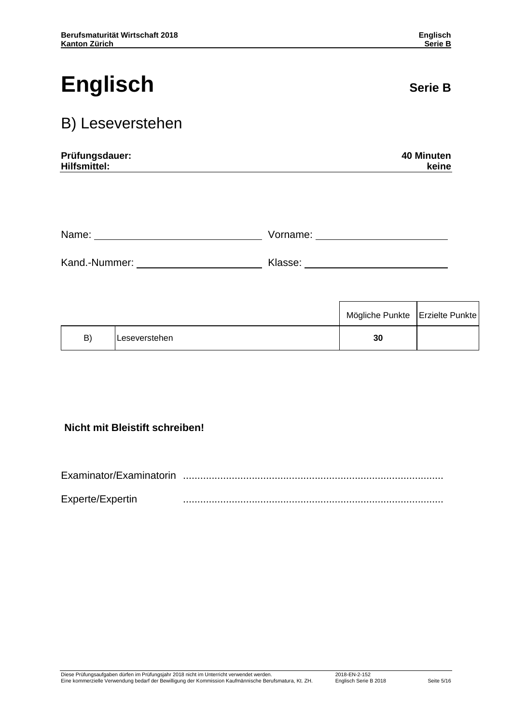# **Englisch** Serie B

## B) Leseverstehen

| Prüfungsdauer:      | <b>40 Minuten</b> |
|---------------------|-------------------|
| <b>Hilfsmittel:</b> | keine             |

| Name:                         | Vorname: |                                 |  |
|-------------------------------|----------|---------------------------------|--|
| Kand.-Nummer: _______________ | Klasse:  |                                 |  |
|                               |          |                                 |  |
|                               |          | Mögliche Punkte Frzielte Punkte |  |

|    |               | <b>Mognono</b> canto <b>LEGORO</b> canto |  |
|----|---------------|------------------------------------------|--|
| B) | Leseverstehen | or.<br>ას                                |  |

### **Nicht mit Bleistift schreiben!**

| Experte/Expertin |  |
|------------------|--|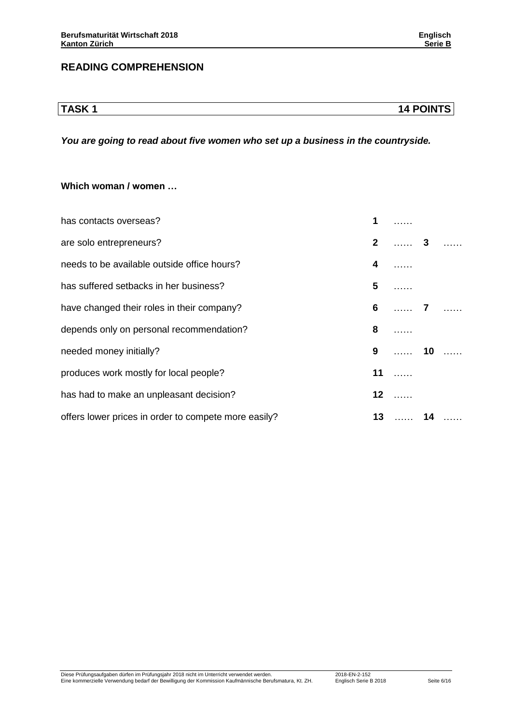### **TASK 1 14 POINTS**

*You are going to read about five women who set up a business in the countryside.*

#### **Which woman / women …**

| has contacts overseas?                               |              |             |  |
|------------------------------------------------------|--------------|-------------|--|
| are solo entrepreneurs?                              | $\mathbf{2}$ | $\ldots$ 3  |  |
| needs to be available outside office hours?          | 4            |             |  |
| has suffered setbacks in her business?               | 5            |             |  |
| have changed their roles in their company?           | 6            | . 7         |  |
| depends only on personal recommendation?             | 8            |             |  |
| needed money initially?                              | 9            | $\ldots$ 10 |  |
| produces work mostly for local people?               | 11           | alaran.     |  |
| has had to make an unpleasant decision?              | 12           |             |  |
| offers lower prices in order to compete more easily? | 13           | . 14        |  |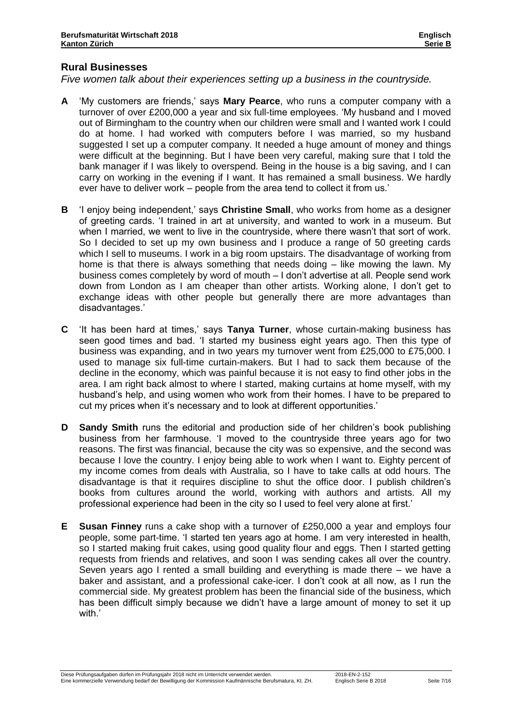### **Rural Businesses**

*Five women talk about their experiences setting up a business in the countryside.*

- **A** 'My customers are friends,' says **Mary Pearce**, who runs a computer company with a turnover of over £200,000 a year and six full-time employees. 'My husband and I moved out of Birmingham to the country when our children were small and I wanted work I could do at home. I had worked with computers before I was married, so my husband suggested I set up a computer company. It needed a huge amount of money and things were difficult at the beginning. But I have been very careful, making sure that I told the bank manager if I was likely to overspend. Being in the house is a big saving, and I can carry on working in the evening if I want. It has remained a small business. We hardly ever have to deliver work – people from the area tend to collect it from us.'
- **B** 'I enjoy being independent,' says **Christine Small**, who works from home as a designer of greeting cards. 'I trained in art at university, and wanted to work in a museum. But when I married, we went to live in the countryside, where there wasn't that sort of work. So I decided to set up my own business and I produce a range of 50 greeting cards which I sell to museums. I work in a big room upstairs. The disadvantage of working from home is that there is always something that needs doing – like mowing the lawn. My business comes completely by word of mouth – I don't advertise at all. People send work down from London as I am cheaper than other artists. Working alone, I don't get to exchange ideas with other people but generally there are more advantages than disadvantages.'
- **C** 'It has been hard at times,' says **Tanya Turner**, whose curtain-making business has seen good times and bad. 'I started my business eight years ago. Then this type of business was expanding, and in two years my turnover went from £25,000 to £75,000. I used to manage six full-time curtain-makers. But I had to sack them because of the decline in the economy, which was painful because it is not easy to find other jobs in the area. I am right back almost to where I started, making curtains at home myself, with my husband's help, and using women who work from their homes. I have to be prepared to cut my prices when it's necessary and to look at different opportunities.'
- **D Sandy Smith** runs the editorial and production side of her children's book publishing business from her farmhouse. 'I moved to the countryside three years ago for two reasons. The first was financial, because the city was so expensive, and the second was because I love the country. I enjoy being able to work when I want to. Eighty percent of my income comes from deals with Australia, so I have to take calls at odd hours. The disadvantage is that it requires discipline to shut the office door. I publish children's books from cultures around the world, working with authors and artists. All my professional experience had been in the city so I used to feel very alone at first.'
- **E Susan Finney** runs a cake shop with a turnover of £250,000 a year and employs four people, some part-time. 'I started ten years ago at home. I am very interested in health, so I started making fruit cakes, using good quality flour and eggs. Then I started getting requests from friends and relatives, and soon I was sending cakes all over the country. Seven years ago I rented a small building and everything is made there – we have a baker and assistant, and a professional cake-icer. I don't cook at all now, as I run the commercial side. My greatest problem has been the financial side of the business, which has been difficult simply because we didn't have a large amount of money to set it up with.'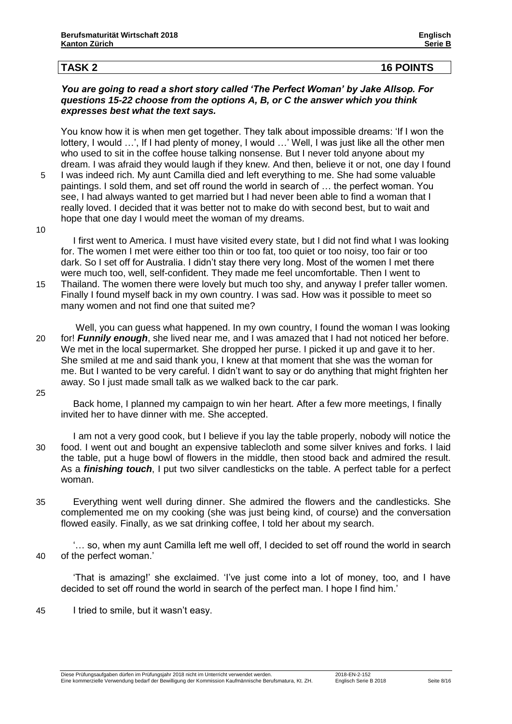### **TASK 2 16 POINTS**

### *You are going to read a short story called 'The Perfect Woman' by Jake Allsop. For questions 15-22 choose from the options A, B, or C the answer which you think expresses best what the text says.*

You know how it is when men get together. They talk about impossible dreams: 'If I won the lottery, I would …', If I had plenty of money, I would …' Well, I was just like all the other men who used to sit in the coffee house talking nonsense. But I never told anyone about my dream. I was afraid they would laugh if they knew. And then, believe it or not, one day I found 5 I was indeed rich. My aunt Camilla died and left everything to me. She had some valuable

- paintings. I sold them, and set off round the world in search of … the perfect woman. You see, I had always wanted to get married but I had never been able to find a woman that I really loved. I decided that it was better not to make do with second best, but to wait and hope that one day I would meet the woman of my dreams.
- 10

I first went to America. I must have visited every state, but I did not find what I was looking for. The women I met were either too thin or too fat, too quiet or too noisy, too fair or too dark. So I set off for Australia. I didn't stay there very long. Most of the women I met there were much too, well, self-confident. They made me feel uncomfortable. Then I went to

15 Thailand. The women there were lovely but much too shy, and anyway I prefer taller women. Finally I found myself back in my own country. I was sad. How was it possible to meet so many women and not find one that suited me?

Well, you can guess what happened. In my own country, I found the woman I was looking 20 for! *Funnily enough*, she lived near me, and I was amazed that I had not noticed her before. We met in the local supermarket. She dropped her purse. I picked it up and gave it to her. She smiled at me and said thank you, I knew at that moment that she was the woman for me. But I wanted to be very careful. I didn't want to say or do anything that might frighten her away. So I just made small talk as we walked back to the car park.

25

Back home, I planned my campaign to win her heart. After a few more meetings, I finally invited her to have dinner with me. She accepted.

- I am not a very good cook, but I believe if you lay the table properly, nobody will notice the 30 food. I went out and bought an expensive tablecloth and some silver knives and forks. I laid the table, put a huge bowl of flowers in the middle, then stood back and admired the result. As a *finishing touch*, I put two silver candlesticks on the table. A perfect table for a perfect woman.
- 35 Everything went well during dinner. She admired the flowers and the candlesticks. She complemented me on my cooking (she was just being kind, of course) and the conversation flowed easily. Finally, as we sat drinking coffee, I told her about my search.

'… so, when my aunt Camilla left me well off, I decided to set off round the world in search 40 of the perfect woman.'

'That is amazing!' she exclaimed. 'I've just come into a lot of money, too, and I have decided to set off round the world in search of the perfect man. I hope I find him.'

45 I tried to smile, but it wasn't easy.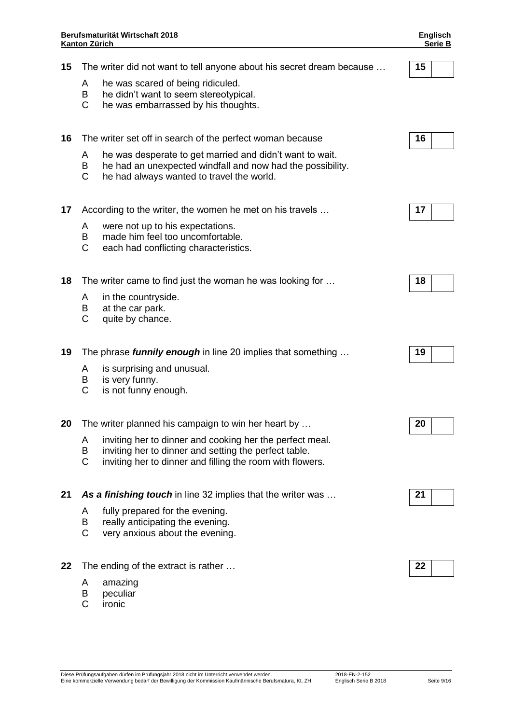|    | <b>Kanton Zürich</b>                                                                                                                                                                                                                                            | Serie B |
|----|-----------------------------------------------------------------------------------------------------------------------------------------------------------------------------------------------------------------------------------------------------------------|---------|
| 15 | The writer did not want to tell anyone about his secret dream because<br>A<br>he was scared of being ridiculed.<br>B<br>he didn't want to seem stereotypical.<br>$\mathsf{C}$<br>he was embarrassed by his thoughts.                                            | 15      |
| 16 | The writer set off in search of the perfect woman because<br>he was desperate to get married and didn't want to wait.<br>A<br>B<br>he had an unexpected windfall and now had the possibility.<br>$\mathsf{C}$<br>he had always wanted to travel the world.      | 16      |
| 17 | According to the writer, the women he met on his travels<br>A<br>were not up to his expectations.<br>B<br>made him feel too uncomfortable.<br>$\mathsf{C}$<br>each had conflicting characteristics.                                                             | 17      |
| 18 | The writer came to find just the woman he was looking for<br>A<br>in the countryside.<br>B<br>at the car park.<br>$\mathsf C$<br>quite by chance.                                                                                                               | 18      |
| 19 | The phrase <i>funnily enough</i> in line 20 implies that something<br>is surprising and unusual.<br>A<br>B<br>is very funny.<br>$\mathsf C$<br>is not funny enough.                                                                                             | 19      |
| 20 | The writer planned his campaign to win her heart by<br>A<br>inviting her to dinner and cooking her the perfect meal.<br>B<br>inviting her to dinner and setting the perfect table.<br>$\mathsf{C}$<br>inviting her to dinner and filling the room with flowers. | 20      |

|  | 21 As a finishing touch in line 32 implies that the writer was | 21 |
|--|----------------------------------------------------------------|----|
|--|----------------------------------------------------------------|----|

- A fully prepared for the evening.
- B really anticipating the evening.
- C very anxious about the evening.
- **22** The ending of the extract is rather … **22**
	- A amazing<br>B peculiar
	- B peculiar<br>C ironic
	- ironic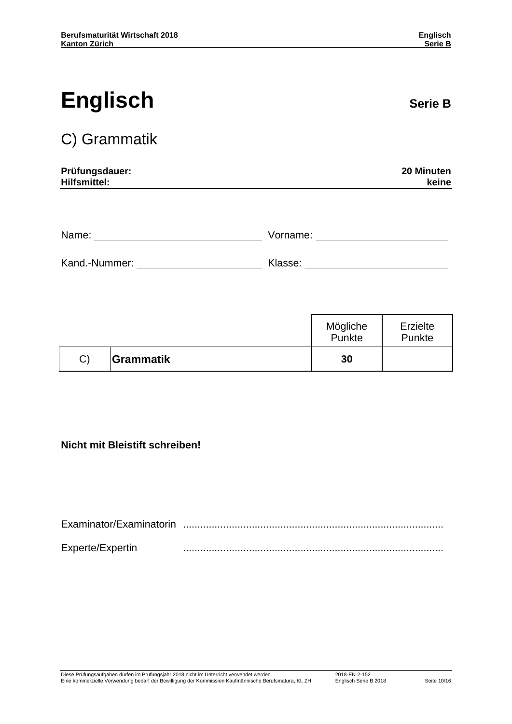# **Englisch** Serie B

## C) Grammatik

| Prüfungsdauer:      | 20 Minuten |
|---------------------|------------|
| <b>Hilfsmittel:</b> | keine      |

| Name:         | Vorname: |
|---------------|----------|
| Kand.-Nummer: | Klasse:  |

|    |                  | Mögliche<br>Punkte | Erzielte<br>Punkte |
|----|------------------|--------------------|--------------------|
| C) | <b>Grammatik</b> | 30                 |                    |

### **Nicht mit Bleistift schreiben!**

| Examinator/Examinatorin |  |
|-------------------------|--|
| Experte/Expertin        |  |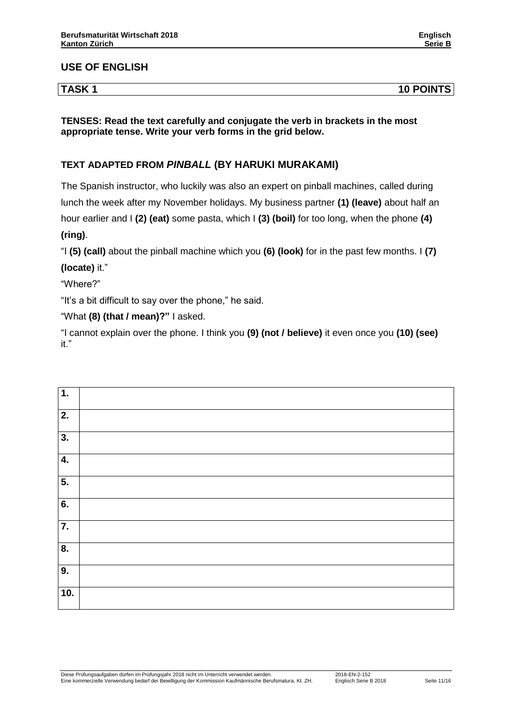### **USE OF ENGLISH**

| TASK | <b>10 POINTS</b> |
|------|------------------|
|      |                  |

### **TENSES: Read the text carefully and conjugate the verb in brackets in the most appropriate tense. Write your verb forms in the grid below.**

### **TEXT ADAPTED FROM** *PINBALL* **(BY HARUKI MURAKAMI)**

The Spanish instructor, who luckily was also an expert on pinball machines, called during lunch the week after my November holidays. My business partner **(1) (leave)** about half an hour earlier and I **(2) (eat)** some pasta, which I **(3) (boil)** for too long, when the phone **(4) (ring)**.

"I **(5) (call)** about the pinball machine which you **(6) (look)** for in the past few months. I **(7) (locate)** it."

"Where?"

"It's a bit difficult to say over the phone," he said.

"What **(8) (that / mean)?"** I asked.

"I cannot explain over the phone. I think you **(9) (not / believe)** it even once you **(10) (see)**  it."

| $\overline{1}$ .          |  |
|---------------------------|--|
| $\overline{2}$ .          |  |
| $\overline{3}$ .          |  |
| 4.                        |  |
| 5.                        |  |
| $\overline{6}$ .          |  |
| $\overline{7}$            |  |
| $\overline{\mathbf{8}}$ . |  |
| 9.                        |  |
| 10.                       |  |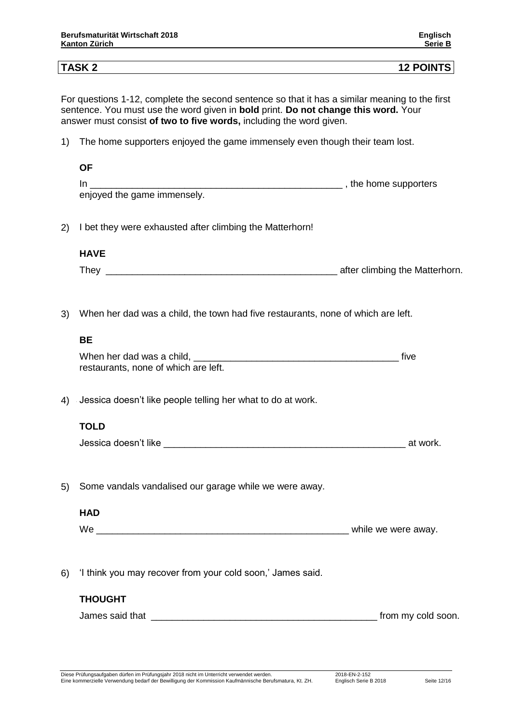## **TASK 2 12 POINTS**

For questions 1-12, complete the second sentence so that it has a similar meaning to the first sentence. You must use the word given in **bold** print. **Do not change this word.** Your answer must consist **of two to five words,** including the word given.

1) The home supporters enjoyed the game immensely even though their team lost.

|     | <b>OF</b>                                                                        |  |
|-----|----------------------------------------------------------------------------------|--|
| 2)  | I bet they were exhausted after climbing the Matterhorn!                         |  |
|     | <b>HAVE</b>                                                                      |  |
|     |                                                                                  |  |
| 3)  | When her dad was a child, the town had five restaurants, none of which are left. |  |
|     | <b>BE</b>                                                                        |  |
|     | restaurants, none of which are left.                                             |  |
| 4)  | Jessica doesn't like people telling her what to do at work.                      |  |
|     | <b>TOLD</b>                                                                      |  |
|     |                                                                                  |  |
| 5). | Some vandals vandalised our garage while we were away.                           |  |
|     | <b>HAD</b>                                                                       |  |
|     |                                                                                  |  |
| 6)  | 'I think you may recover from your cold soon,' James said.                       |  |
|     | <b>THOUGHT</b>                                                                   |  |
|     |                                                                                  |  |
|     |                                                                                  |  |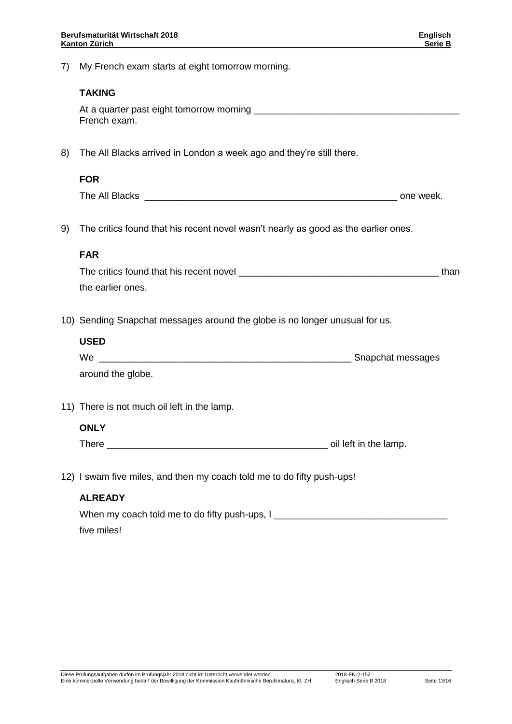7) My French exam starts at eight tomorrow morning.

### **TAKING**

| At a quarter past eight tomorrow morning |  |
|------------------------------------------|--|
| French exam.                             |  |

8) The All Blacks arrived in London a week ago and they're still there.

### **FOR**

| The All Blacks |  | one week. |
|----------------|--|-----------|
|----------------|--|-----------|

9) The critics found that his recent novel wasn't nearly as good as the earlier ones.

### **FAR**

| The critics found that his recent novel | than |
|-----------------------------------------|------|
| the earlier ones.                       |      |

10) Sending Snapchat messages around the globe is no longer unusual for us.

### **USED**

| We                | Snapchat messages |
|-------------------|-------------------|
| around the globe. |                   |

11) There is not much oil left in the lamp.

### **ONLY**

| oil left in the lamp. |
|-----------------------|
|                       |

12) I swam five miles, and then my coach told me to do fifty push-ups!

### **ALREADY**

| When my coach told me to do fifty push-ups, I |  |
|-----------------------------------------------|--|
| five miles!                                   |  |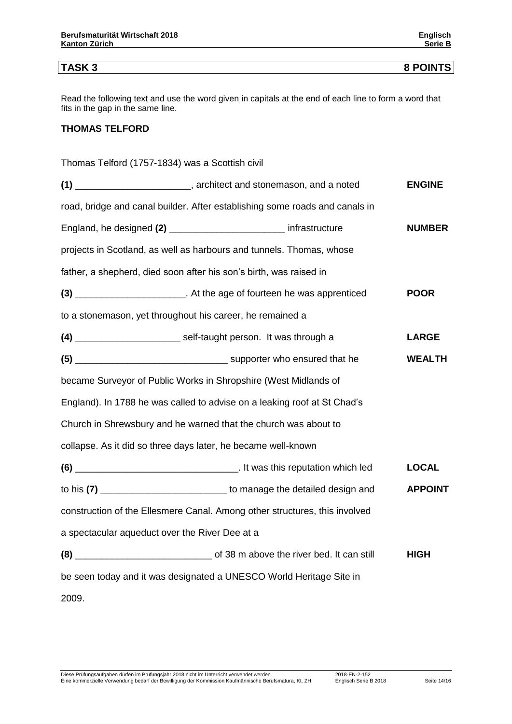Read the following text and use the word given in capitals at the end of each line to form a word that fits in the gap in the same line.

#### **THOMAS TELFORD**

Thomas Telford (1757-1834) was a Scottish civil **(1)** \_\_\_\_\_\_\_\_\_\_\_\_\_\_\_\_\_\_\_\_\_\_, architect and stonemason, and a noted road, bridge and canal builder. After establishing some roads and canals in England, he designed **(2)** \_\_\_\_\_\_\_\_\_\_\_\_\_\_\_\_\_\_\_\_\_\_ infrastructure projects in Scotland, as well as harbours and tunnels. Thomas, whose father, a shepherd, died soon after his son's birth, was raised in **(3) Conserverse At the age of fourteen he was apprenticed** to a stonemason, yet throughout his career, he remained a **(4)** \_\_\_\_\_\_\_\_\_\_\_\_\_\_\_\_\_\_\_\_ self-taught person. It was through a **(5)** \_\_\_\_\_\_\_\_\_\_\_\_\_\_\_\_\_\_\_\_\_\_\_\_\_\_\_\_\_ supporter who ensured that he became Surveyor of Public Works in Shropshire (West Midlands of England). In 1788 he was called to advise on a leaking roof at St Chad's Church in Shrewsbury and he warned that the church was about to collapse. As it did so three days later, he became well-known **(6)** \_\_\_\_\_\_\_\_\_\_\_\_\_\_\_\_\_\_\_\_\_\_\_\_\_\_\_\_\_\_\_. It was this reputation which led to his **(7)** \_\_\_\_\_\_\_\_\_\_\_\_\_\_\_\_\_\_\_\_\_\_\_\_ to manage the detailed design and construction of the Ellesmere Canal. Among other structures, this involved a spectacular aqueduct over the River Dee at a **(8)** \_\_\_\_\_\_\_\_\_\_\_\_\_\_\_\_\_\_\_\_\_\_\_\_\_\_ of 38 m above the river bed. It can still be seen today and it was designated a UNESCO World Heritage Site in 2009. **ENGINE NUMBER POOR LARGE WEALTH LOCAL APPOINT HIGH**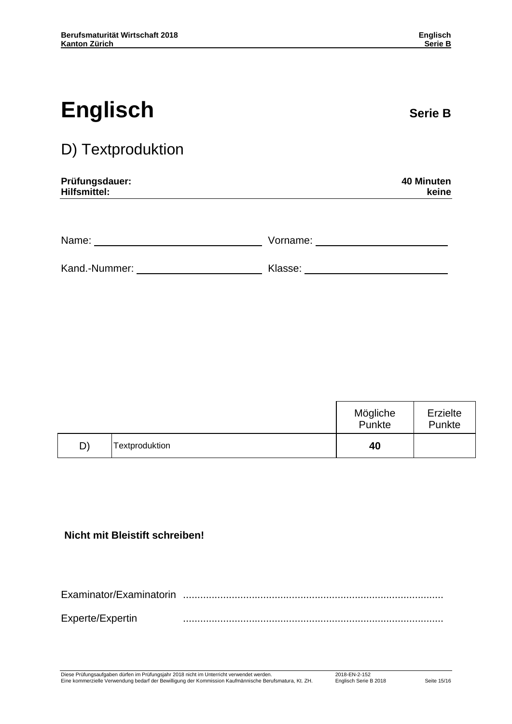| <b>Englisch</b>                       |                         | <b>Serie B</b>             |
|---------------------------------------|-------------------------|----------------------------|
| D) Textproduktion                     |                         |                            |
| Prüfungsdauer:<br><b>Hilfsmittel:</b> |                         | <b>40 Minuten</b><br>keine |
|                                       | Vorname: ______________ |                            |
| Kand.-Nummer:                         | Klasse:                 |                            |

|    |                | Mögliche<br>Punkte | Erzielte<br>Punkte |
|----|----------------|--------------------|--------------------|
| D) | Textproduktion | 40                 |                    |

### **Nicht mit Bleistift schreiben!**

Examinator/Examinatorin ........................................................................................... Experte/Expertin ...........................................................................................